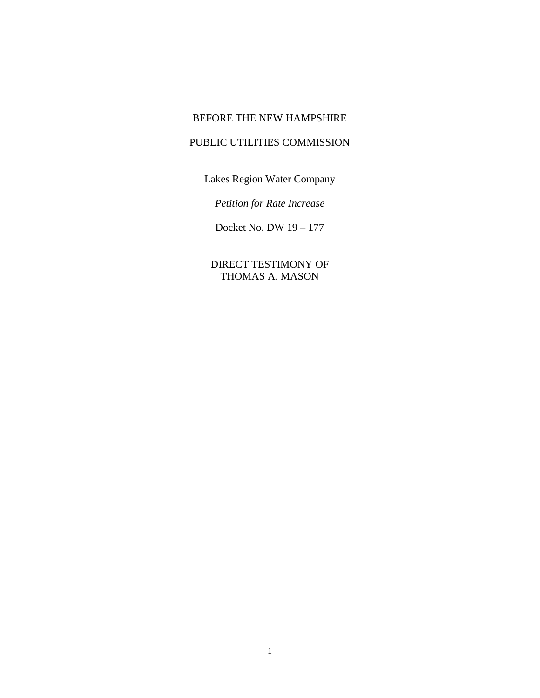## BEFORE THE NEW HAMPSHIRE

## PUBLIC UTILITIES COMMISSION

Lakes Region Water Company

*Petition for Rate Increase*

Docket No. DW 19 – 177

DIRECT TESTIMONY OF THOMAS A. MASON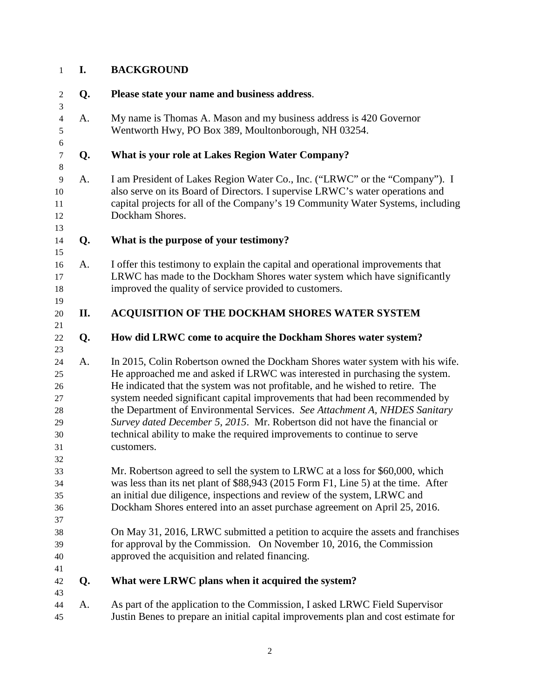## **I. BACKGROUND**

| $\boldsymbol{2}$            | Q. | Please state your name and business address.                                                                            |
|-----------------------------|----|-------------------------------------------------------------------------------------------------------------------------|
| $\mathfrak{Z}$              |    |                                                                                                                         |
| $\overline{4}$              | A. | My name is Thomas A. Mason and my business address is 420 Governor                                                      |
| 5                           |    | Wentworth Hwy, PO Box 389, Moultonborough, NH 03254.                                                                    |
| $\sqrt{6}$                  |    |                                                                                                                         |
| $\boldsymbol{7}$<br>$\,8\,$ | Q. | What is your role at Lakes Region Water Company?                                                                        |
| 9                           | A. | I am President of Lakes Region Water Co., Inc. ("LRWC" or the "Company"). I                                             |
| 10                          |    | also serve on its Board of Directors. I supervise LRWC's water operations and                                           |
| 11                          |    | capital projects for all of the Company's 19 Community Water Systems, including                                         |
| 12                          |    | Dockham Shores.                                                                                                         |
| 13                          |    |                                                                                                                         |
| 14                          | Q. | What is the purpose of your testimony?                                                                                  |
| 15                          |    |                                                                                                                         |
| 16                          | A. | I offer this testimony to explain the capital and operational improvements that                                         |
| 17                          |    | LRWC has made to the Dockham Shores water system which have significantly                                               |
| 18                          |    | improved the quality of service provided to customers.                                                                  |
| 19                          |    |                                                                                                                         |
| 20                          | П. | ACQUISITION OF THE DOCKHAM SHORES WATER SYSTEM                                                                          |
| 21                          |    |                                                                                                                         |
| 22                          | Q. | How did LRWC come to acquire the Dockham Shores water system?                                                           |
| 23<br>24                    | A. | In 2015, Colin Robertson owned the Dockham Shores water system with his wife.                                           |
| 25                          |    | He approached me and asked if LRWC was interested in purchasing the system.                                             |
| 26                          |    | He indicated that the system was not profitable, and he wished to retire. The                                           |
| 27                          |    | system needed significant capital improvements that had been recommended by                                             |
| 28                          |    | the Department of Environmental Services. See Attachment A, NHDES Sanitary                                              |
| 29                          |    | Survey dated December 5, 2015. Mr. Robertson did not have the financial or                                              |
| 30                          |    | technical ability to make the required improvements to continue to serve                                                |
| 31                          |    | customers.                                                                                                              |
| 32                          |    |                                                                                                                         |
| 33                          |    | Mr. Robertson agreed to sell the system to LRWC at a loss for \$60,000, which                                           |
| 34                          |    | was less than its net plant of \$88,943 (2015 Form F1, Line 5) at the time. After                                       |
| 35                          |    | an initial due diligence, inspections and review of the system, LRWC and                                                |
| 36                          |    | Dockham Shores entered into an asset purchase agreement on April 25, 2016.                                              |
| 37                          |    |                                                                                                                         |
| 38                          |    | On May 31, 2016, LRWC submitted a petition to acquire the assets and franchises                                         |
| 39<br>40                    |    | for approval by the Commission. On November 10, 2016, the Commission<br>approved the acquisition and related financing. |
| 41                          |    |                                                                                                                         |
| 42                          | Q. | What were LRWC plans when it acquired the system?                                                                       |
| 43                          |    |                                                                                                                         |
| 44                          | A. | As part of the application to the Commission, I asked LRWC Field Supervisor                                             |
| 45                          |    | Justin Benes to prepare an initial capital improvements plan and cost estimate for                                      |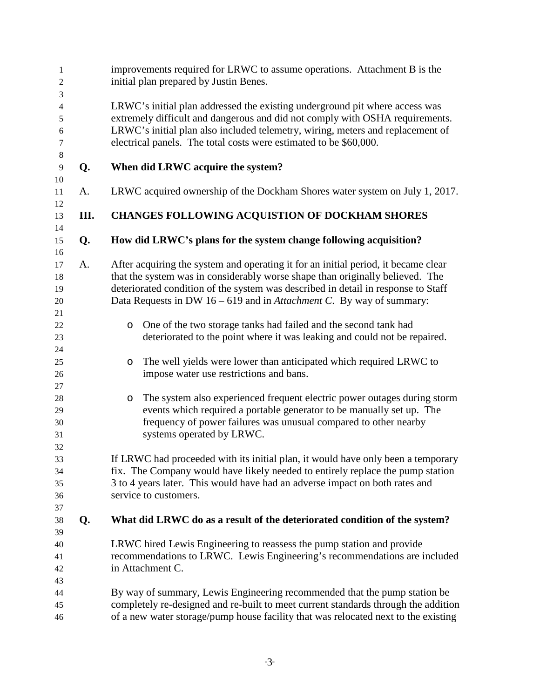| 1<br>$\mathfrak{2}$   |      | improvements required for LRWC to assume operations. Attachment B is the<br>initial plan prepared by Justin Benes.                                             |
|-----------------------|------|----------------------------------------------------------------------------------------------------------------------------------------------------------------|
| 3<br>4                |      | LRWC's initial plan addressed the existing underground pit where access was                                                                                    |
| 5<br>$\boldsymbol{6}$ |      | extremely difficult and dangerous and did not comply with OSHA requirements.<br>LRWC's initial plan also included telemetry, wiring, meters and replacement of |
| $\tau$<br>$8\,$       |      | electrical panels. The total costs were estimated to be \$60,000.                                                                                              |
| $\overline{9}$        | Q.   | When did LRWC acquire the system?                                                                                                                              |
| 10                    |      |                                                                                                                                                                |
| 11<br>12              | A.   | LRWC acquired ownership of the Dockham Shores water system on July 1, 2017.                                                                                    |
| 13<br>14              | III. | <b>CHANGES FOLLOWING ACQUISTION OF DOCKHAM SHORES</b>                                                                                                          |
| 15<br>16              | Q.   | How did LRWC's plans for the system change following acquisition?                                                                                              |
| 17                    | A.   | After acquiring the system and operating it for an initial period, it became clear                                                                             |
| 18                    |      | that the system was in considerably worse shape than originally believed. The                                                                                  |
| 19                    |      | deteriorated condition of the system was described in detail in response to Staff                                                                              |
| 20                    |      | Data Requests in DW $16 - 619$ and in <i>Attachment C</i> . By way of summary:                                                                                 |
| 21                    |      |                                                                                                                                                                |
| 22                    |      | One of the two storage tanks had failed and the second tank had<br>$\circ$                                                                                     |
| 23                    |      | deteriorated to the point where it was leaking and could not be repaired.                                                                                      |
| 24                    |      |                                                                                                                                                                |
| 25                    |      | The well yields were lower than anticipated which required LRWC to<br>$\circ$                                                                                  |
| 26                    |      | impose water use restrictions and bans.                                                                                                                        |
| 27                    |      |                                                                                                                                                                |
| 28                    |      | The system also experienced frequent electric power outages during storm<br>$\circ$                                                                            |
| 29                    |      | events which required a portable generator to be manually set up. The                                                                                          |
| 30                    |      | frequency of power failures was unusual compared to other nearby                                                                                               |
| 31                    |      | systems operated by LRWC.                                                                                                                                      |
| 32                    |      |                                                                                                                                                                |
| 33                    |      | If LRWC had proceeded with its initial plan, it would have only been a temporary                                                                               |
| 34                    |      | fix. The Company would have likely needed to entirely replace the pump station                                                                                 |
| 35                    |      | 3 to 4 years later. This would have had an adverse impact on both rates and                                                                                    |
| 36                    |      | service to customers.                                                                                                                                          |
| 37                    |      |                                                                                                                                                                |
| 38<br>39              | Q.   | What did LRWC do as a result of the deteriorated condition of the system?                                                                                      |
| 40                    |      | LRWC hired Lewis Engineering to reassess the pump station and provide                                                                                          |
| 41                    |      | recommendations to LRWC. Lewis Engineering's recommendations are included                                                                                      |
| 42                    |      | in Attachment C.                                                                                                                                               |
| 43                    |      |                                                                                                                                                                |
| 44                    |      | By way of summary, Lewis Engineering recommended that the pump station be                                                                                      |
| 45                    |      | completely re-designed and re-built to meet current standards through the addition                                                                             |
| 46                    |      | of a new water storage/pump house facility that was relocated next to the existing                                                                             |